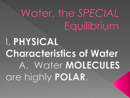## Water, the SPECIAL Equilibrium

# I. PHYSICAL Characteristics of Water A. Water MOLECULES are highly POLAR.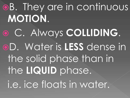oB. They are in continuous **MOTION**. C. Always **COLLIDING**. D. Water is **LESS** dense in the solid phase than in the **LIQUID** phase. i.e. ice floats in water.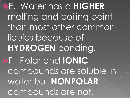E. Water has a **HIGHER** melting and boiling point than most other common liquids because of **HYDROGEN** bonding. F. Polar and **IONIC** compounds are soluble in water but **NONPOLAR** compounds are not.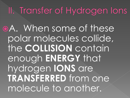#### II. Transfer of Hydrogen Ions

A. When some of these polar molecules collide, the **COLLISION** contain enough **ENERGY** that hydrogen **IONS** are **TRANSFERRED** from one molecule to another.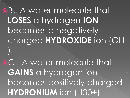B. A water molecule that **LOSES** a hydrogen **ION** becomes a negatively charged **HYDROXIDE** ion (OH- ).

C. A water molecule that **GAINS** a hydrogen ion becomes positively charged **HYDRONIUM** ion (H30+)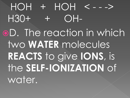# $HOH$  +  $HOH$  < - - ->  $H30+$  + OH-D. The reaction in which two **WATER** molecules **REACTS** to give **IONS**, is the **SELF-IONIZATION** of water.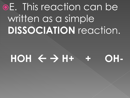## oE. This reaction can be written as a simple **DISSOCIATION** reaction.

#### $HOH \leftarrow$   $\rightarrow$  H+ + OH-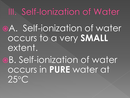III. Self-Ionization of Water

A. Self-ionization of water occurs to a very **SMALL** extent.

B. Self-ionization of water occurs in **PURE** water at 25°C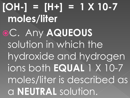# **[OH-] = [H+] = 1 X 10-7 moles/liter** C. Any **AQUEOUS** solution in which the hydroxide and hydrogen ions both **EQUAL** 1 X 10-7 moles/liter is described as a **NEUTRAL** solution.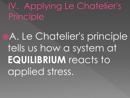IV. Applying Le Chatelier's Principle

A. Le Chatelier's principle tells us how a system at **EQUILIBRIUM** reacts to applied stress.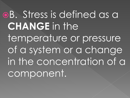oB. Stress is defined as a **CHANGE** in the temperature or pressure of a system or a change in the concentration of a component.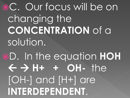### C. Our focus will be on changing the **CONCENTRATION** of a solution.

### D. In the equation **HOH H+ + OH-** the [OH-] and [H+] are **INTERDEPENDENT**.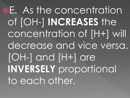E. As the concentration of [OH-] **INCREASES** the concentration of [H+] will decrease and vice versa. [OH-] and [H+] are **INVERSELY** proportional to each other.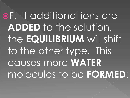oF. If additional ions are **ADDED** to the solution, the **EQUILIBRIUM** will shift to the other type. This causes more **WATER** molecules to be **FORMED**.